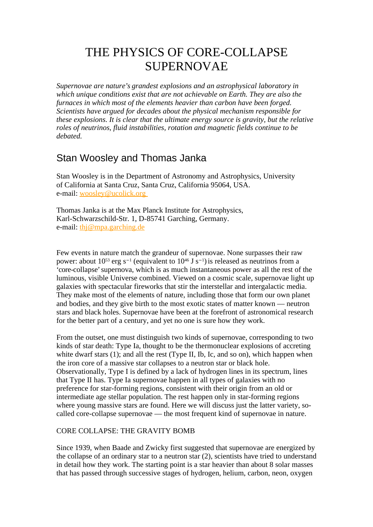# THE PHYSICS OF CORE-COLLAPSE SUPERNOVAE

*Supernovae are nature's grandest explosions and an astrophysical laboratory in which unique conditions exist that are not achievable on Earth. They are also the furnaces in which most of the elements heavier than carbon have been forged. Scientists have argued for decades about the physical mechanism responsible for these explosions. It is clear that the ultimate energy source is gravity, but the relative roles of neutrinos, fluid instabilities, rotation and magnetic fields continue to be debated.*

# Stan Woosley and Thomas Janka

Stan Woosley is in the Department of Astronomy and Astrophysics, University of California at Santa Cruz, Santa Cruz, California 95064, USA. e-mail: [woosley@ucolick.org](mailto:woosley@ucolick.org)

Thomas Janka is at the Max Planck Institute for Astrophysics, Karl-Schwarzschild-Str. 1, D-85741 Garching, Germany. e-mail: [thj@mpa.garching.de](mailto:thj@mpa.garching.de)

Few events in nature match the grandeur of supernovae. None surpasses their raw power: about  $10^{53}$  erg s<sup>-1</sup> (equivalent to  $10^{46}$  J s<sup>-1</sup>) is released as neutrinos from a 'core-collapse' supernova, which is as much instantaneous power as all the rest of the luminous, visible Universe combined. Viewed on a cosmic scale, supernovae light up galaxies with spectacular fireworks that stir the interstellar and intergalactic media. They make most of the elements of nature, including those that form our own planet and bodies, and they give birth to the most exotic states of matter known — neutron stars and black holes. Supernovae have been at the forefront of astronomical research for the better part of a century, and yet no one is sure how they work.

From the outset, one must distinguish two kinds of supernovae, corresponding to two kinds of star death: Type Ia, thought to be the thermonuclear explosions of accreting white dwarf stars (1); and all the rest (Type II, Ib, Ic, and so on), which happen when the iron core of a massive star collapses to a neutron star or black hole. Observationally, Type I is defined by a lack of hydrogen lines in its spectrum, lines that Type II has. Type Ia supernovae happen in all types of galaxies with no preference for star-forming regions, consistent with their origin from an old or intermediate age stellar population. The rest happen only in star-forming regions where young massive stars are found. Here we will discuss just the latter variety, socalled core-collapse supernovae — the most frequent kind of supernovae in nature.

# CORE COLLAPSE: THE GRAVITY BOMB

Since 1939, when Baade and Zwicky first suggested that supernovae are energized by the collapse of an ordinary star to a neutron star (2), scientists have tried to understand in detail how they work. The starting point is a star heavier than about 8 solar masses that has passed through successive stages of hydrogen, helium, carbon, neon, oxygen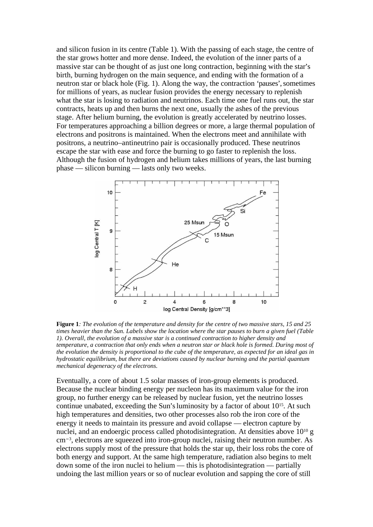and silicon fusion in its centre (Table 1). With the passing of each stage, the centre of the star grows hotter and more dense. Indeed, the evolution of the inner parts of a massive star can be thought of as just one long contraction, beginning with the star's birth, burning hydrogen on the main sequence, and ending with the formation of a neutron star or black hole (Fig. 1). Along the way, the contraction 'pauses', sometimes for millions of years, as nuclear fusion provides the energy necessary to replenish what the star is losing to radiation and neutrinos. Each time one fuel runs out, the star contracts, heats up and then burns the next one, usually the ashes of the previous stage. After helium burning, the evolution is greatly accelerated by neutrino losses. For temperatures approaching a billion degrees or more, a large thermal population of electrons and positrons is maintained. When the electrons meet and annihilate with positrons, a neutrino–antineutrino pair is occasionally produced. These neutrinos escape the star with ease and force the burning to go faster to replenish the loss. Although the fusion of hydrogen and helium takes millions of years, the last burning phase — silicon burning — lasts only two weeks.



**Figure 1***: The evolution of the temperature and density for the centre of two massive stars, 15 and 25 times heavier than the Sun. Labels show the location where the star pauses to burn a given fuel (Table 1). Overall, the evolution of a massive star is a continued contraction to higher density and temperature, a contraction that only ends when a neutron star or black hole is formed. During most of the evolution the density is proportional to the cube of the temperature, as expected for an ideal gas in hydrostatic equilibrium, but there are deviations caused by nuclear burning and the partial quantum mechanical degeneracy of the electrons.*

Eventually, a core of about 1.5 solar masses of iron-group elements is produced. Because the nuclear binding energy per nucleon has its maximum value for the iron group, no further energy can be released by nuclear fusion, yet the neutrino losses continue unabated, exceeding the Sun's luminosity by a factor of about 10<sup>15</sup>. At such high temperatures and densities, two other processes also rob the iron core of the energy it needs to maintain its pressure and avoid collapse — electron capture by nuclei, and an endoergic process called photodisintegration. At densities above  $10^{10}$  g cm−<sup>3</sup> , electrons are squeezed into iron-group nuclei, raising their neutron number. As electrons supply most of the pressure that holds the star up, their loss robs the core of both energy and support. At the same high temperature, radiation also begins to melt down some of the iron nuclei to helium — this is photodisintegration — partially undoing the last million years or so of nuclear evolution and sapping the core of still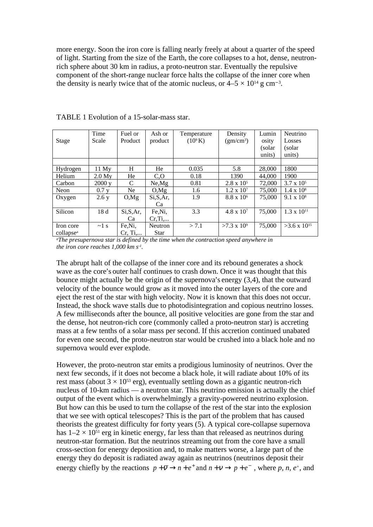more energy. Soon the iron core is falling nearly freely at about a quarter of the speed of light. Starting from the size of the Earth, the core collapses to a hot, dense, neutronrich sphere about 30 km in radius, a proto-neutron star. Eventually the repulsive component of the short-range nuclear force halts the collapse of the inner core when the density is nearly twice that of the atomic nucleus, or  $4-5 \times 10^{14}$  g cm<sup>-3</sup>.

|                       | Time       | Fuel or          | Ash or      | Temperature | Density               | Lumin   | Neutrino              |
|-----------------------|------------|------------------|-------------|-------------|-----------------------|---------|-----------------------|
| Stage                 | Scale      | Product          | product     | $(10^9 K)$  | (gm/cm <sup>3</sup> ) | osity   | Losses                |
|                       |            |                  |             |             |                       | (solar) | (solar)               |
|                       |            |                  |             |             |                       | units)  | units)                |
|                       |            |                  |             |             |                       |         |                       |
| Hydrogen              | 11 Mv      | H                | He          | 0.035       | 5.8                   | 28,000  | 1800                  |
| Helium                | 2.0 Mv     | He               | $C_{0}$     | 0.18        | 1390                  | 44,000  | 1900                  |
| Carbon                | 2000v      | C                | Ne.Mg       | 0.81        | $2.8 \times 10^5$     | 72,000  | $3.7 \times 10^5$     |
| Neon                  | $0.7$ y    | Ne.              | O.Mg        | 1.6         | $1.2 \times 10^7$     | 75,000  | $1.4 \times 10^8$     |
| Oxygen                | 2.6y       | O.Mg             | Si, S, Ar,  | 1.9         | $8.8 \times 10^{6}$   | 75,000  | $9.1 \times 10^8$     |
|                       |            |                  | Ca          |             |                       |         |                       |
| Silicon               | 18d        | Si, S, Ar        | Fe,Ni,      | 3.3         | $4.8 \times 10^{7}$   | 75,000  | $1.3 \times 10^{11}$  |
|                       |            | Ca               | $Cr$ , $Ti$ |             |                       |         |                       |
| Iron core             | $\sim$ 1 s | Fe,Ni,           | Neutron     | > 7.1       | $>7.3 \times 10^9$    | 75,000  | $>3.6 \times 10^{15}$ |
| collapse <sup>a</sup> |            | $Cr, Ti, \ldots$ | <b>Star</b> |             |                       |         |                       |

TABLE 1 Evolution of a 15-solar-mass star.

*<sup>a</sup>The presupernova star is defined by the time when the contraction speed anywhere in the iron core reaches 1,000 km s -1 .*

The abrupt halt of the collapse of the inner core and its rebound generates a shock wave as the core's outer half continues to crash down. Once it was thought that this bounce might actually be the origin of the supernova's energy (3,4), that the outward velocity of the bounce would grow as it moved into the outer layers of the core and eject the rest of the star with high velocity. Now it is known that this does not occur. Instead, the shock wave stalls due to photodisintegration and copious neutrino losses. A few milliseconds after the bounce, all positive velocities are gone from the star and the dense, hot neutron-rich core (commonly called a proto-neutron star) is accreting mass at a few tenths of a solar mass per second. If this accretion continued unabated for even one second, the proto-neutron star would be crushed into a black hole and no supernova would ever explode.

However, the proto-neutron star emits a prodigious luminosity of neutrinos. Over the next few seconds, if it does not become a black hole, it will radiate about 10% of its rest mass (about  $3 \times 10^{53}$  erg), eventually settling down as a gigantic neutron-rich nucleus of 10-km radius — a neutron star. This neutrino emission is actually the chief output of the event which is overwhelmingly a gravity-powered neutrino explosion. But how can this be used to turn the collapse of the rest of the star into the explosion that we see with optical telescopes? This is the part of the problem that has caused theorists the greatest difficulty for forty years (5). A typical core-collapse supernova has  $1-2 \times 10^{51}$  erg in kinetic energy, far less than that released as neutrinos during neutron-star formation. But the neutrinos streaming out from the core have a small cross-section for energy deposition and, to make matters worse, a large part of the energy they do deposit is radiated away again as neutrinos (neutrinos deposit their energy chiefly by the reactions  $p + \overline{v} \rightarrow n + e^+$  and  $n + \overline{v} \rightarrow p + e^-$ , where p, n, e<sup>+</sup>, and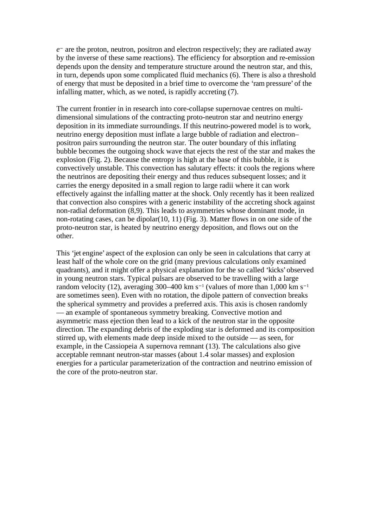*e* <sup>−</sup> are the proton, neutron, positron and electron respectively; they are radiated away by the inverse of these same reactions). The efficiency for absorption and re-emission depends upon the density and temperature structure around the neutron star, and this, in turn, depends upon some complicated fluid mechanics (6). There is also a threshold of energy that must be deposited in a brief time to overcome the 'ram pressure' of the infalling matter, which, as we noted, is rapidly accreting (7).

The current frontier in in research into core-collapse supernovae centres on multidimensional simulations of the contracting proto-neutron star and neutrino energy deposition in its immediate surroundings. If this neutrino-powered model is to work, neutrino energy deposition must inflate a large bubble of radiation and electron– positron pairs surrounding the neutron star. The outer boundary of this inflating bubble becomes the outgoing shock wave that ejects the rest of the star and makes the explosion (Fig. 2). Because the entropy is high at the base of this bubble, it is convectively unstable. This convection has salutary effects: it cools the regions where the neutrinos are depositing their energy and thus reduces subsequent losses; and it carries the energy deposited in a small region to large radii where it can work effectively against the infalling matter at the shock. Only recently has it been realized that convection also conspires with a generic instability of the accreting shock against non-radial deformation (8,9). This leads to asymmetries whose dominant mode, in non-rotating cases, can be dipolar(10, 11) (Fig. 3). Matter flows in on one side of the proto-neutron star, is heated by neutrino energy deposition, and flows out on the other.

This 'jet engine' aspect of the explosion can only be seen in calculations that carry at least half of the whole core on the grid (many previous calculations only examined quadrants), and it might offer a physical explanation for the so called 'kicks'observed in young neutron stars. Typical pulsars are observed to be travelling with a large random velocity (12), averaging 300–400 km s−<sup>1</sup> (values of more than 1,000 km s−<sup>1</sup> are sometimes seen). Even with no rotation, the dipole pattern of convection breaks the spherical symmetry and provides a preferred axis. This axis is chosen randomly — an example of spontaneous symmetry breaking. Convective motion and asymmetric mass ejection then lead to a kick of the neutron star in the opposite direction. The expanding debris of the exploding star is deformed and its composition stirred up, with elements made deep inside mixed to the outside — as seen, for example, in the Cassiopeia A supernova remnant (13). The calculations also give acceptable remnant neutron-star masses (about 1.4 solar masses) and explosion energies for a particular parameterization of the contraction and neutrino emission of the core of the proto-neutron star.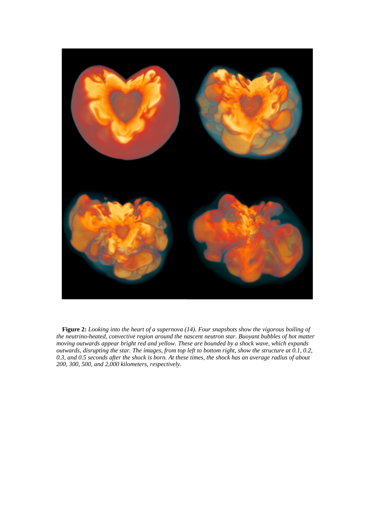

 **Figure 2:** *Looking into the heart of a supernova (14). Four snapshots show the vigorous boiling of the neutrino-heated, convective region around the nascent neutron star. Buoyant bubbles of hot matter moving outwards appear bright red and yellow. These are bounded by a shock wave, which expands outwards, disrupting the star. The images, from top left to bottom right, show the structure at 0.1, 0.2, 0.3, and 0.5 seconds after the shock is born. At these times, the shock has an average radius of about 200, 300, 500, and 2,000 kilometers, respectively.*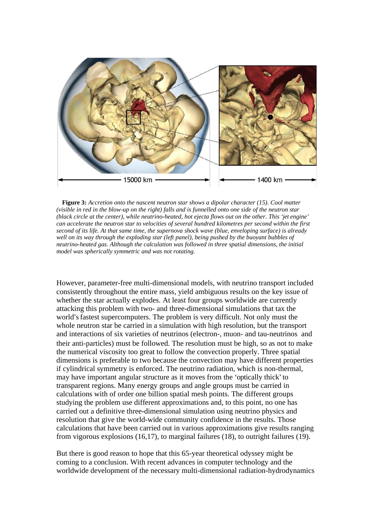

 **Figure 3:** *Accretion onto the nascent neutron star shows a dipolar character (15). Cool matter (visible in red in the blow-up on the right) falls and is funnelled onto one side of the neutron star (black circle at the center), while neutrino-heated, hot ejecta flows out on the other. This 'jet engine' can accelerate the neutron star to velocities of several hundred kilometres per second within the first second of its life. At that same time, the supernova shock wave (blue, enveloping surface) is already well on its way through the exploding star (left panel), being pushed by the buoyant bubbles of neutrino-heated gas. Although the calculation was followed in three spatial dimensions, the initial model was spherically symmetric and was not rotating.*

However, parameter-free multi-dimensional models, with neutrino transport included consistently throughout the entire mass, yield ambiguous results on the key issue of whether the star actually explodes. At least four groups worldwide are currently attacking this problem with two- and three-dimensional simulations that tax the world's fastest supercomputers. The problem is very difficult. Not only must the whole neutron star be carried in a simulation with high resolution, but the transport and interactions of six varieties of neutrinos (electron-, muon- and tau-neutrinos and their anti-particles) must be followed. The resolution must be high, so as not to make the numerical viscosity too great to follow the convection properly. Three spatial dimensions is preferable to two because the convection may have different properties if cylindrical symmetry is enforced. The neutrino radiation, which is non-thermal, may have important angular structure as it moves from the 'optically thick'to transparent regions. Many energy groups and angle groups must be carried in calculations with of order one billion spatial mesh points. The different groups studying the problem use different approximations and, to this point, no one has carried out a definitive three-dimensional simulation using neutrino physics and resolution that give the world-wide community confidence in the results. Those calculations that have been carried out in various approximations give results ranging from vigorous explosions (16,17), to marginal failures (18), to outright failures (19).

But there is good reason to hope that this 65-year theoretical odyssey might be coming to a conclusion. With recent advances in computer technology and the worldwide development of the necessary multi-dimensional radiation-hydrodynamics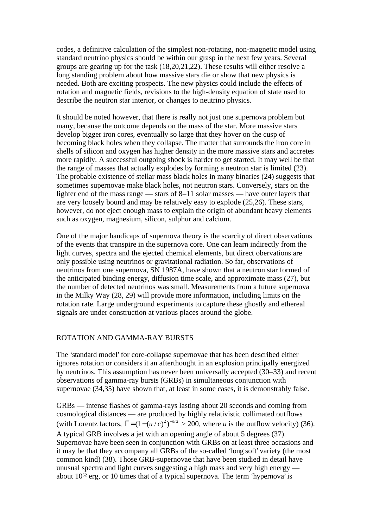codes, a definitive calculation of the simplest non-rotating, non-magnetic model using standard neutrino physics should be within our grasp in the next few years. Several groups are gearing up for the task (18,20,21,22). These results will either resolve a long standing problem about how massive stars die or show that new physics is needed. Both are exciting prospects. The new physics could include the effects of rotation and magnetic fields, revisions to the high-density equation of state used to describe the neutron star interior, or changes to neutrino physics.

It should be noted however, that there is really not just one supernova problem but many, because the outcome depends on the mass of the star. More massive stars develop bigger iron cores, eventually so large that they hover on the cusp of becoming black holes when they collapse. The matter that surrounds the iron core in shells of silicon and oxygen has higher density in the more massive stars and accretes more rapidly. A successful outgoing shock is harder to get started. It may well be that the range of masses that actually explodes by forming a neutron star is limited (23). The probable existence of stellar mass black holes in many binaries (24) suggests that sometimes supernovae make black holes, not neutron stars. Conversely, stars on the lighter end of the mass range — stars of 8–11 solar masses — have outer layers that are very loosely bound and may be relatively easy to explode (25,26). These stars, however, do not eject enough mass to explain the origin of abundant heavy elements such as oxygen, magnesium, silicon, sulphur and calcium.

One of the major handicaps of supernova theory is the scarcity of direct observations of the events that transpire in the supernova core. One can learn indirectly from the light curves, spectra and the ejected chemical elements, but direct obervations are only possible using neutrinos or gravitational radiation. So far, observations of neutrinos from one supernova, SN 1987A, have shown that a neutron star formed of the anticipated binding energy, diffusion time scale, and approximate mass (27), but the number of detected neutrinos was small. Measurements from a future supernova in the Milky Way (28, 29) will provide more information, including limits on the rotation rate. Large underground experiments to capture these ghostly and ethereal signals are under construction at various places around the globe.

# ROTATION AND GAMMA-RAY BURSTS

The 'standard model' for core-collapse supernovae that has been described either ignores rotation or considers it an afterthought in an explosion principally energized by neutrinos. This assumption has never been universally accepted (30–33) and recent observations of gamma-ray bursts (GRBs) in simultaneous conjunction with supernovae (34,35) have shown that, at least in some cases, it is demonstrably false.

GRBs — intense flashes of gamma-rays lasting about 20 seconds and coming from cosmological distances — are produced by highly relativistic collimated outflows (with Lorentz factors,  $\Gamma = (1 - (u/c)^2)^{-1/2} > 200$ , where *u* is the outflow velocity) (36). A typical GRB involves a jet with an opening angle of about 5 degrees (37). Supernovae have been seen in conjunction with GRBs on at least three occasions and it may be that they accompany all GRBs of the so-called 'long soft' variety (the most common kind) (38). Those GRB-supernovae that have been studied in detail have unusual spectra and light curves suggesting a high mass and very high energy about 10<sup>52</sup> erg, or 10 times that of a typical supernova. The term 'hypernova' is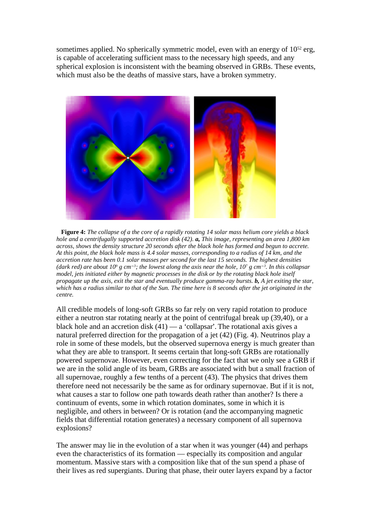sometimes applied. No spherically symmetric model, even with an energy of 10<sup>52</sup> erg, is capable of accelerating sufficient mass to the necessary high speeds, and any spherical explosion is inconsistent with the beaming observed in GRBs. These events, which must also be the deaths of massive stars, have a broken symmetry.



**Figure 4:** *The collapse of a the core of a rapidly rotating 14 solar mass helium core yields a black hole and a centrifugally supported accretion disk (42). a, This image, representing an area 1,800 km across, shows the density structure 20 seconds after the black hole has formed and begun to accrete. At this point, the black hole mass is 4.4 solar masses, corresponding to a radius of 14 km, and the accretion rate has been 0.1 solar masses per second for the last 15 seconds. The highest densities (dark red) are about 10<sup>9</sup> g cm*−*<sup>3</sup> ; the lowest along the axis near the hole, 10<sup>7</sup> g cm*−*<sup>3</sup> . In this collapsar model, jets initiated either by magnetic processes in the disk or by the rotating black hole itself propagate up the axis, exit the star and eventually produce gamma-ray bursts. b, A jet exiting the star, which has a radius similar to that of the Sun. The time here is 8 seconds after the jet originated in the centre.*

All credible models of long-soft GRBs so far rely on very rapid rotation to produce either a neutron star rotating nearly at the point of centrifugal break up (39,40), or a black hole and an accretion disk  $(41)$  — a 'collapsar'. The rotational axis gives a natural preferred direction for the propagation of a jet (42) (Fig. 4). Neutrinos play a role in some of these models, but the observed supernova energy is much greater than what they are able to transport. It seems certain that long-soft GRBs are rotationally powered supernovae. However, even correcting for the fact that we only see a GRB if we are in the solid angle of its beam, GRBs are associated with but a small fraction of all supernovae, roughly a few tenths of a percent (43). The physics that drives them therefore need not necessarily be the same as for ordinary supernovae. But if it is not, what causes a star to follow one path towards death rather than another? Is there a continuum of events, some in which rotation dominates, some in which it is negligible, and others in between? Or is rotation (and the accompanying magnetic fields that differential rotation generates) a necessary component of all supernova explosions?

The answer may lie in the evolution of a star when it was younger (44) and perhaps even the characteristics of its formation — especially its composition and angular momentum. Massive stars with a composition like that of the sun spend a phase of their lives as red supergiants. During that phase, their outer layers expand by a factor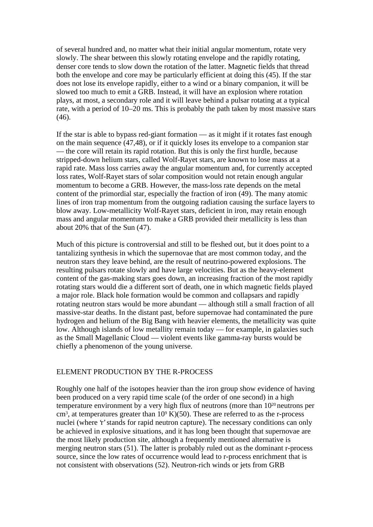of several hundred and, no matter what their initial angular momentum, rotate very slowly. The shear between this slowly rotating envelope and the rapidly rotating, denser core tends to slow down the rotation of the latter. Magnetic fields that thread both the envelope and core may be particularly efficient at doing this (45). If the star does not lose its envelope rapidly, either to a wind or a binary companion, it will be slowed too much to emit a GRB. Instead, it will have an explosion where rotation plays, at most, a secondary role and it will leave behind a pulsar rotating at a typical rate, with a period of 10–20 ms. This is probably the path taken by most massive stars (46).

If the star is able to bypass red-giant formation — as it might if it rotates fast enough on the main sequence (47,48), or if it quickly loses its envelope to a companion star — the core will retain its rapid rotation. But this is only the first hurdle, because stripped-down helium stars, called Wolf-Rayet stars, are known to lose mass at a rapid rate. Mass loss carries away the angular momentum and, for currently accepted loss rates, Wolf-Rayet stars of solar composition would not retain enough angular momentum to become a GRB. However, the mass-loss rate depends on the metal content of the primordial star, especially the fraction of iron (49). The many atomic lines of iron trap momentum from the outgoing radiation causing the surface layers to blow away. Low-metallicity Wolf-Rayet stars, deficient in iron, may retain enough mass and angular momentum to make a GRB provided their metallicity is less than about 20% that of the Sun (47).

Much of this picture is controversial and still to be fleshed out, but it does point to a tantalizing synthesis in which the supernovae that are most common today, and the neutron stars they leave behind, are the result of neutrino-powered explosions. The resulting pulsars rotate slowly and have large velocities. But as the heavy-element content of the gas-making stars goes down, an increasing fraction of the most rapidly rotating stars would die a different sort of death, one in which magnetic fields played a major role. Black hole formation would be common and collapsars and rapidly rotating neutron stars would be more abundant — although still a small fraction of all massive-star deaths. In the distant past, before supernovae had contaminated the pure hydrogen and helium of the Big Bang with heavier elements, the metallicity was quite low. Although islands of low metallity remain today — for example, in galaxies such as the Small Magellanic Cloud — violent events like gamma-ray bursts would be chiefly a phenomenon of the young universe.

#### ELEMENT PRODUCTION BY THE R-PROCESS

Roughly one half of the isotopes heavier than the iron group show evidence of having been produced on a very rapid time scale (of the order of one second) in a high temperature environment by a very high flux of neutrons (more than 10<sup>20</sup> neutrons per cm<sup>3</sup>, at temperatures greater than  $10^9$  K $)(50)$ . These are referred to as the r-process nuclei (where 'r'stands for rapid neutron capture). The necessary conditions can only be achieved in explosive situations, and it has long been thought that supernovae are the most likely production site, although a frequently mentioned alternative is merging neutron stars (51). The latter is probably ruled out as the dominant r-process source, since the low rates of occurrence would lead to r-process enrichment that is not consistent with observations (52). Neutron-rich winds or jets from GRB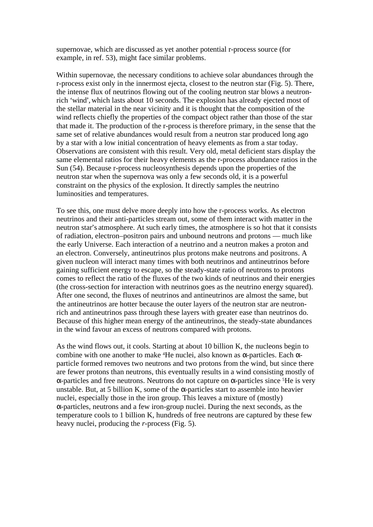supernovae, which are discussed as yet another potential r-process source (for example, in ref. 53), might face similar problems.

Within supernovae, the necessary conditions to achieve solar abundances through the r-process exist only in the innermost ejecta, closest to the neutron star (Fig. 5). There, the intense flux of neutrinos flowing out of the cooling neutron star blows a neutronrich 'wind',which lasts about 10 seconds. The explosion has already ejected most of the stellar material in the near vicinity and it is thought that the composition of the wind reflects chiefly the properties of the compact object rather than those of the star that made it. The production of the r-process is therefore primary, in the sense that the same set of relative abundances would result from a neutron star produced long ago by a star with a low initial concentration of heavy elements as from a star today. Observations are consistent with this result. Very old, metal deficient stars display the same elemental ratios for their heavy elements as the r-process abundance ratios in the Sun (54). Because r*-*process nucleosynthesis depends upon the properties of the neutron star when the supernova was only a few seconds old, it is a powerful constraint on the physics of the explosion. It directly samples the neutrino luminosities and temperatures.

To see this, one must delve more deeply into how the r-process works. As electron neutrinos and their anti-particles stream out, some of them interact with matter in the neutron star's atmosphere. At such early times, the atmosphere is so hot that it consists of radiation, electron–positron pairs and unbound neutrons and protons — much like the early Universe. Each interaction of a neutrino and a neutron makes a proton and an electron. Conversely, antineutrinos plus protons make neutrons and positrons. A given nucleon will interact many times with both neutrinos and antineutrinos before gaining sufficient energy to escape, so the steady-state ratio of neutrons to protons comes to reflect the ratio of the fluxes of the two kinds of neutrinos and their energies (the cross-section for interaction with neutrinos goes as the neutrino energy squared). After one second, the fluxes of neutrinos and antineutrinos are almost the same, but the antineutrinos are hotter because the outer layers of the neutron star are neutronrich and antineutrinos pass through these layers with greater ease than neutrinos do. Because of this higher mean energy of the antineutrinos, the steady-state abundances in the wind favour an excess of neutrons compared with protons.

As the wind flows out, it cools. Starting at about 10 billion K, the nucleons begin to combine with one another to make <sup>4</sup>He nuclei, also known as α-particles. Each αparticle formed removes two neutrons and two protons from the wind, but since there are fewer protons than neutrons, this eventually results in a wind consisting mostly of α-particles and free neutrons. Neutrons do not capture on α-particles since <sup>5</sup>He is very unstable. But, at 5 billion K, some of the  $\alpha$ -particles start to assemble into heavier nuclei, especially those in the iron group. This leaves a mixture of (mostly) α-particles, neutrons and a few iron-group nuclei. During the next seconds, as the temperature cools to 1 billion K, hundreds of free neutrons are captured by these few heavy nuclei, producing the *r*-process (Fig. 5).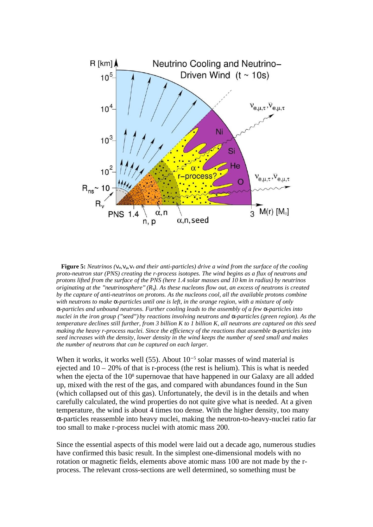

 **Figure 5:** *Neutrinos (*νe,νμ,ντ *and their anti-particles) drive a wind from the surface of the cooling proto-neutron star (PNS) creating the r-process isotopes. The wind begins as a flux of neutrons and protons lifted from the surface of the PNS (here 1.4 solar masses and 10 km in radius) by neutrinos originating at the "neutrinosphere"(R*ν). *As these nucleons flow out, an excess of neutrons is created by the capture of anti-neutrinos on protons. As the nucleons cool, all the available protons combine with neutrons to make* α*-particles until one is left, in the orange region, with a mixture of only* α*-particles and unbound neutrons. Further cooling leads to the assembly of a few* α*-particles into nuclei in the iron group ("seed") by reactions involving neutrons and* α*-particles (green region). As the temperature declines still further, from 3 billion K to 1 billion K, all neutrons are captured on this seed making the heavy r-process nuclei. Since the efficiency of the reactions that assemble* α*-particles into seed increases with the density, lower density in the wind keeps the number of seed small and makes the number of neutrons that can be captured on each larger.*

When it works, it works well (55). About 10<sup>-5</sup> solar masses of wind material is ejected and  $10 - 20\%$  of that is r-process (the rest is helium). This is what is needed when the ejecta of the 10<sup>8</sup> supernovae that have happened in our Galaxy are all added up, mixed with the rest of the gas, and compared with abundances found in the Sun (which collapsed out of this gas). Unfortunately, the devil is in the details and when carefully calculated, the wind properties do not quite give what is needed. At a given temperature, the wind is about 4 times too dense. With the higher density, too many α-particles reassemble into heavy nuclei, making the neutron-to-heavy-nuclei ratio far too small to make r-process nuclei with atomic mass 200.

Since the essential aspects of this model were laid out a decade ago, numerous studies have confirmed this basic result. In the simplest one-dimensional models with no rotation or magnetic fields, elements above atomic mass 100 are not made by the rprocess. The relevant cross-sections are well determined, so something must be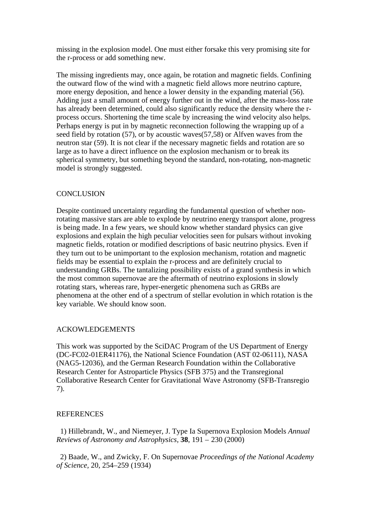missing in the explosion model. One must either forsake this very promising site for the r-process or add something new.

The missing ingredients may, once again, be rotation and magnetic fields. Confining the outward flow of the wind with a magnetic field allows more neutrino capture, more energy deposition, and hence a lower density in the expanding material (56). Adding just a small amount of energy further out in the wind, after the mass-loss rate has already been determined, could also significantly reduce the density where the rprocess occurs. Shortening the time scale by increasing the wind velocity also helps. Perhaps energy is put in by magnetic reconnection following the wrapping up of a seed field by rotation (57), or by acoustic waves(57,58) or Alfven waves from the neutron star (59). It is not clear if the necessary magnetic fields and rotation are so large as to have a direct influence on the explosion mechanism or to break its spherical symmetry, but something beyond the standard, non-rotating, non-magnetic model is strongly suggested.

# **CONCLUSION**

Despite continued uncertainty regarding the fundamental question of whether nonrotating massive stars are able to explode by neutrino energy transport alone, progress is being made. In a few years, we should know whether standard physics can give explosions and explain the high peculiar velocities seen for pulsars without invoking magnetic fields, rotation or modified descriptions of basic neutrino physics. Even if they turn out to be unimportant to the explosion mechanism, rotation and magnetic fields may be essential to explain the r-process and are definitely crucial to understanding GRBs. The tantalizing possibility exists of a grand synthesis in which the most common supernovae are the aftermath of neutrino explosions in slowly rotating stars, whereas rare, hyper-energetic phenomena such as GRBs are phenomena at the other end of a spectrum of stellar evolution in which rotation is the key variable. We should know soon.

# ACKOWLEDGEMENTS

This work was supported by the SciDAC Program of the US Department of Energy (DC-FC02-01ER41176), the National Science Foundation (AST 02-06111), NASA (NAG5-12036), and the German Research Foundation within the Collaborative Research Center for Astroparticle Physics (SFB 375) and the Transregional Collaborative Research Center for Gravitational Wave Astronomy (SFB-Transregio 7).

# REFERENCES

 1) Hillebrandt, W., and Niemeyer, J. Type Ia Supernova Explosion Models *Annual Reviews of Astronomy and Astrophysics,* **38**, 191 – 230 (2000)

 2) Baade, W., and Zwicky, F. On Supernovae *Proceedings of the National Academy of Science,* 20, 254–259 (1934)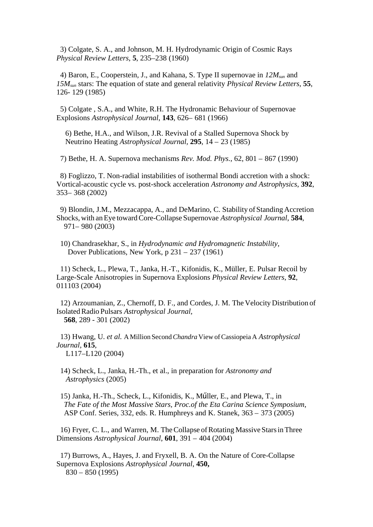3) Colgate, S. A., and Johnson, M. H. Hydrodynamic Origin of Cosmic Rays *Physical Review Letters*, **5**, 235–238 (1960)

4) Baron, E., Cooperstein, J., and Kahana, S. Type II supernovae in *12Msun* and *15Msun* stars: The equation of state and general relativity *Physical Review Letters*, **55**, 126- 129 (1985)

 5) Colgate , S.A., and White, R.H. The Hydronamic Behaviour of Supernovae Explosions *Astrophysical Journal*, **143**, 626– 681 (1966)

6) Bethe, H.A., and Wilson, J.R. Revival of a Stalled Supernova Shock by Neutrino Heating *Astrophysical Journal,* **295**, 14 – 23 (1985)

7) Bethe, H. A. Supernova mechanisms *Rev. Mod. Phys.*, 62, 801 – 867 (1990)

 8) Foglizzo, T. Non-radial instabilities of isothermal Bondi accretion with a shock: Vortical-acoustic cycle vs. post-shock acceleration *Astronomy and Astrophysics*, **392**, 353– 368 (2002)

 9) Blondin, J.M., Mezzacappa, A., and DeMarino, C. Stability of Standing Accretion Shocks,with anEye towardCore-Collapse Supernovae *Astrophysical Journal*, **584**, 971– 980 (2003)

 10) Chandrasekhar, S., in *Hydrodynamic and Hydromagnetic Instability*, Dover Publications, New York, p 231 – 237 (1961)

 11) Scheck, L., Plewa, T., Janka, H.-T., Kifonidis, K., Müller, E. Pulsar Recoil by Large-Scale Anisotropies in Supernova Explosions *Physical Review Letters*, **92**, 011103 (2004)

 12) Arzoumanian, Z., Chernoff, D. F., and Cordes, J. M. The Velocity Distribution of IsolatedRadio Pulsars *Astrophysical Journal,* **568**, 289 - 301 (2002)

 13) Hwang, U. *et al.* A Million Second*Chandra* View ofCassiopeia A *Astrophysical Journal,* **615**, L117–L120 (2004)

 14) Scheck, L., Janka, H.-Th., et al., in preparation for *Astronomy and Astrophysics* (2005)

15) Janka, H.-Th., Scheck, L., Kifonidis, K., Műller, E., and Plewa, T., in *The Fate of the Most Massive Stars, Proc.of the Eta Carina Science Symposium*, ASP Conf. Series, 332, eds. R. Humphreys and K. Stanek, 363 – 373 (2005)

 16) Fryer, C. L., and Warren, M. TheCollapse ofRotating Massive StarsinThree Dimensions *Astrophysical Journal*, **601**, 391 – 404 (2004)

 17) Burrows, A., Hayes, J. and Fryxell, B. A. On the Nature of Core-Collapse Supernova Explosions *Astrophysical Journal*, **450,** 830 – 850 (1995)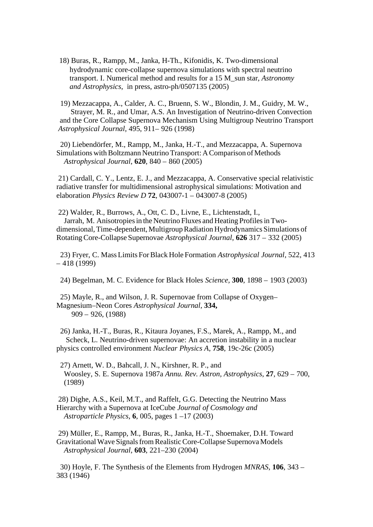18) Buras, R., Rampp, M., [Janka](http://xxx.lanl.gov/find/astro-ph/1/au:+Janka_H/0/1/0/all/0/1), H-Th., [Kifonidis,](http://xxx.lanl.gov/find/astro-ph/1/au:+Kifonidis_K/0/1/0/all/0/1) K. Two-dimensional hydrodynamic core-collapse supernova simulations with spectral neutrino transport. I. Numerical method and results for a 15 M\_sun star, *Astronomy and Astrophysics*, in press, astro-ph/0507135 (2005)

 19) Mezzacappa, A., Calder, A. C., Bruenn, S. W., Blondin, J. M., Guidry, M. W., Strayer, M. R., and Umar, A.S. An Investigation of Neutrino-driven Convection and the Core Collapse Supernova Mechanism Using Multigroup Neutrino Transport *Astrophysical Journal*, 495, 911– 926 (1998)

 20) Liebendörfer, M., Rampp, M., Janka, H.-T., and Mezzacappa, A. Supernova Simulations with Boltzmann Neutrino Transport: A Comparison of Methods *Astrophysical Journal*, **620**, 840 – 860 (2005)

 21) Cardall, C. Y., Lentz, E. J., and Mezzacappa, A. Conservative special relativistic radiative transfer for multidimensional astrophysical simulations: Motivation and elaboration *Physics Review D* **72**, 043007-1 – 043007-8 (2005)

22) [Walder,](http://adsabs.harvard.edu/cgi-bin/author_form?author=Walder,+R&fullauthor=Walder, R.&charset=UTF-8&db_key=AST) R., [Burrows,](http://adsabs.harvard.edu/cgi-bin/author_form?author=Burrows,+A&fullauthor=Burrows, A.&charset=UTF-8&db_key=AST) A., [Ott,](http://adsabs.harvard.edu/cgi-bin/author_form?author=Ott,+C&fullauthor=Ott, C. D.&charset=UTF-8&db_key=AST) C. D., [Livne,](http://adsabs.harvard.edu/cgi-bin/author_form?author=Livne,+E&fullauthor=Livne, E.&charset=UTF-8&db_key=AST) E., [Lichtenstadt,](http://adsabs.harvard.edu/cgi-bin/author_form?author=Lichtenstadt,+I&fullauthor=Lichtenstadt, I.&charset=UTF-8&db_key=AST) I., [Jarrah,](http://adsabs.harvard.edu/cgi-bin/author_form?author=Jarrah,+M&fullauthor=Jarrah, M.&charset=UTF-8&db_key=AST) M. Anisotropies in the Neutrino Fluxes and Heating Profiles in Twodimensional,Time-dependent, MultigroupRadiation Hydrodynamics Simulations of RotatingCore-Collapse Supernovae *Astrophysical Journal*, **626** 317 – 332 (2005)

 23) Fryer, C. MassLimits ForBlack Hole Formation *Astrophysical Journal*, 522, 413 – 418 (1999)

24) Begelman, M. C. Evidence for Black Holes *Science,* **300**, 1898 – 1903 (2003)

 25) Mayle, R., and Wilson, J. R. Supernovae from Collapse of Oxygen– Magnesium–Neon Cores *Astrophysical Journal*, **334,** 909 – 926, (1988)

26) Janka, H.-T., Buras, R., Kitaura Joyanes, F.S., Marek, A., Rampp, M., and Scheck, L. Neutrino-driven supernovae: An accretion instability in a nuclear physics controlled environment *Nuclear Physics A*, **758**, 19c-26c (2005)

 27) Arnett, W. D., Bahcall, J. N., Kirshner, R. P., and Woosley, S. E. Supernova 1987a *Annu. Rev. Astron, Astrophysics*, **27**, 629 – 700, (1989)

 28) Dighe, A.S., Keil, M.T., and Raffelt, G.G. Detecting the Neutrino Mass Hierarchy with a Supernova at IceCube *Journal of Cosmology and Astroparticle Physics*, **6**, 005, pages 1 –17 (2003)

 29) Müller, E., Rampp, M., Buras, R., Janka, H.-T., Shoemaker, D.H. Toward GravitationalWave SignalsfromRealisticCore-Collapse SupernovaModels *Astrophysical Journal,* **603**, 221–230 (2004)

 [30\) Hoyle,](http://adsabs.harvard.edu/cgi-bin/author_form?author=Hoyle,+F&fullauthor=Hoyle, F.&charset=UTF-8&db_key=AST) F. The Synthesis of the Elements from Hydrogen *MNRAS*, **106**, 343 – 383 (1946)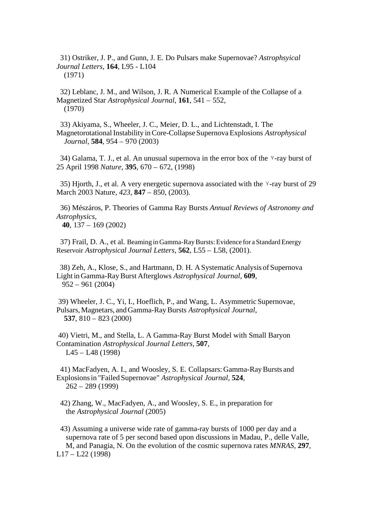31) Ostriker, J. P., and Gunn, J. E. Do Pulsars make Supernovae? *Astrophsyical Journal Letters*, **164**, L95 - L104 (1971)

 32) Leblanc, J. M., and Wilson, J. R. A Numerical Example of the Collapse of a Magnetized Star *Astrophysical Journal*, **161**, 541 – 552, (1970)

 33) Akiyama, S., Wheeler, J. C., Meier, D. L., and Lichtenstadt, I. The MagnetorotationalInstability inCore-Collapse SupernovaExplosions *Astrophysical Journal*, **584**, 954 – 970 (2003)

34) Galama, T. J., et al. An unusual supernova in the error box of the  $\gamma$ -ray burst of 25 April 1998 *Nature*, **395**, 670 – 672, (1998)

35) Hjorth, J., et al. A very energetic supernova associated with the  $\gamma$ -ray burst of 29 March 2003 Nature, *423*, **847** – 850, (2003).

36) Mészáros, P. Theories of Gamma Ray Bursts *Annual Reviews of Astronomy and Astrophysics,* **40**, 137 – 169 (2002)

 37) Frail, D. A., et al. Beaming in Gamma-RayBursts:Evidence for a StandardEnergy Reservoir *Astrophysical Journal Letters,* **562**, L55 – L58, (2001).

 38) Zeh, A., Klose, S., and Hartmann, D. H. A Systematic Analysis of Supernova Light in Gamma-RayBurst Afterglows *Astrophysical Journal*, **609**, 952 – 961 (2004)

 39) Wheeler, J. C., Yi, I., Hoeflich, P., and Wang, L. Asymmetric Supernovae, Pulsars,Magnetars, and Gamma-RayBursts *Astrophysical Journal,* **537**, 810 – 823 (2000)

 40) Vietri, M., and Stella, L. A Gamma-Ray Burst Model with Small Baryon Contamination *Astrophysical Journal Letters*, **507**, L45 – L48 (1998)

 41) MacFadyen, A. I., and Woosley, S. E. Collapsars: Gamma-RayBursts and Explosionsin "Failed Supernovae" *Astrophysical Journal*, **524**, 262 – 289 (1999)

 42) Zhang, W., MacFadyen, A., and Woosley, S. E., in preparation for the *Astrophysical Journal* (2005)

 43) Assuming a universe wide rate of gamma-ray bursts of 1000 per day and a supernova rate of 5 per second based upon discussions in Madau, P., delle Valle, M, and Panagia, N. On the evolution of the cosmic supernova rates *MNRAS,* **297**, L17 – L22 (1998)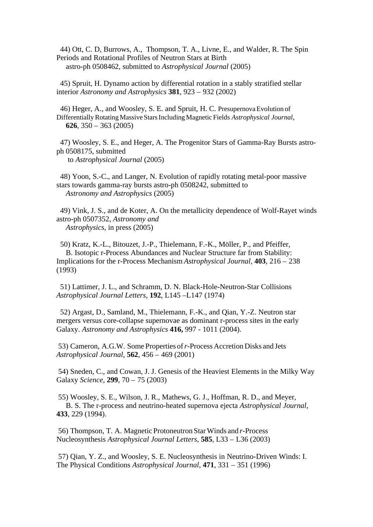44) Ott, C. D, Burrows, A., [Thompson,](http://xxx.lanl.gov/find/astro-ph/1/au:+Thompson_T/0/1/0/all/0/1) T. A., [Livne,](http://xxx.lanl.gov/find/astro-ph/1/au:+Livne_E/0/1/0/all/0/1) E., and [Walder,](http://xxx.lanl.gov/find/astro-ph/1/au:+Walder_R/0/1/0/all/0/1) R. The Spin Periods and Rotational Profiles of Neutron Stars at Birth astro-ph 0508462, submitted to *Astrophysical Journal* (2005)

 45) Spruit, H. Dynamo action by differential rotation in a stably stratified stellar interior *Astronomy and Astrophysics* **381**, 923 – 932 (2002)

 46) Heger, A., and Woosley, S. E. and Spruit, H. C. PresupernovaEvolution of DifferentiallyRotating Massive StarsIncluding Magnetic Fields *Astrophysical Journal,*  **626**, 350 – 363 (2005)

 47) Woosley, S. E., and Heger, A. The Progenitor Stars of Gamma-Ray Bursts astroph 0508175, submitted to *Astrophysical Journal* (2005)

 48) Yoon, S.-C., and Langer, N. Evolution of rapidly rotating metal-poor massive stars towards gamma-ray bursts astro-ph 0508242, submitted to *Astronomy and Astrophysics* (2005)

 49) Vink, J. S., and de Koter, A. On the metallicity dependence of Wolf-Rayet winds astro-ph 0507352, *Astronomy and Astrophysics*, in press (2005)

 50) Kratz, K.-L., Bitouzet, J.-P., Thielemann, F.-K., Möller, P., and Pfeiffer, B. Isotopic r-Process Abundances and Nuclear Structure far from Stability: Implications for the r-Process Mechanism *Astrophysical Journal,* **403**, 216 – 238 (1993)

 51) Lattimer, J. L., and Schramm, D. N. Black-Hole-Neutron-Star Collisions *Astrophysical Journal Letters,* **192**, L145 –L147 (1974)

 52) Argast, D., Samland, M., Thielemann, F.-K., and Qian, Y.-Z. Neutron star mergers versus core-collapse supernovae as dominant r-process sites in the early Galaxy. *Astronomy and Astrophysics* **416,** 997 - 1011 (2004).

 53) Cameron, A.G.W. Some Properties of*r*-Process Accretion Disks and Jets *Astrophysical Journal*, **562**, 456 – 469 (2001)

 54) Sneden, C., and Cowan, J. J. Genesis of the Heaviest Elements in the Milky Way Galaxy *Science*, **299**, 70 – 75 (2003)

 55) Woosley, S. E., Wilson, J. R., Mathews, G. J., Hoffman, R. D., and Meyer, B. S. The r-process and neutrino-heated supernova ejecta *Astrophysical Journal*, **433**, 229 (1994).

 56) Thompson, T. A. Magnetic Protoneutron StarWinds and *r*-Process Nucleosynthesis *Astrophysical Journal Letters*, **585**, L33 – L36 (2003)

 57) Qian, Y. Z., and Woosley, S. E. Nucleosynthesis in Neutrino-Driven Winds: I. The Physical Conditions *Astrophysical Journal*, **471**, 331 – 351 (1996)